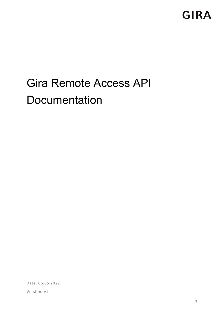# Gira Remote Access API **Documentation**

Date: 06.05.2022

Version: v1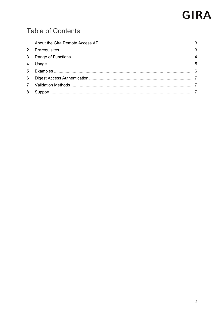## **Table of Contents**

| 8 |  |
|---|--|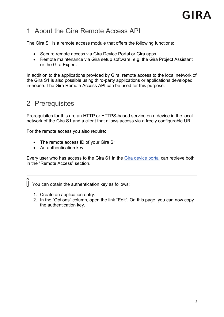### <span id="page-2-0"></span>1 About the Gira Remote Access API

The Gira S1 is a remote access module that offers the following functions:

- Secure remote access via Gira Device Portal or Gira apps.
- Remote maintenance via Gira setup software, e.g. the Gira Project Assistant or the Gira Expert.

In addition to the applications provided by Gira, remote access to the local network of the Gira S1 is also possible using third-party applications or applications developed in-house. The Gira Remote Access API can be used for this purpose.

#### <span id="page-2-1"></span>2 Prerequisites

Prerequisites for this are an HTTP or HTTPS-based service on a device in the local network of the Gira S1 and a client that allows access via a freely configurable URL.

For the remote access you also require:

- The remote access ID of your Gira S1
- An authentication key

Every user who has access to the Gira S1 in the [Gira device portal](https://geraeteportal.gira.de/en/index.html) can retrieve both in the "Remote Access" section.

 $\int \int$  You can obtain the authentication key as follows:

- 1. Create an application entry.
- 2. In the "Options" column, open the link "Edit". On this page, you can now copy the authentication key.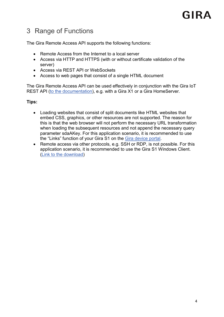## <span id="page-3-0"></span>3 Range of Functions

The Gira Remote Access API supports the following functions:

- Remote Access from the Internet to a local server
- Access via HTTP and HTTPS (with or without certificate validation of the server)
- Access via REST API or WebSockets
- Access to web pages that consist of a single HTML document

The Gira Remote Access API can be used effectively in conjunction with the Gira IoT REST API [\(to the documentation\)](https://partner.gira.com/en/service/software-tools/developer.html), e.g. with a Gira X1 or a Gira HomeServer.

#### **Tips:**

- Loading websites that consist of split documents like HTML websites that embed CSS, graphics, or other resources are not supported. The reason for this is that the web browser will not perform the necessary URL transformation when loading the subsequent resources and not append the necessary query parameter sdaAKey. For this application scenario, it is recommended to use the "Links" function of your Gira S1 on the [Gira device portal.](https://geraeteportal.gira.de/en/index.html)
- Remote access via other protocols, e.g. SSH or RDP, is not possible. For this application scenario, it is recommended to use the Gira S1 Windows Client. [\(Link to the download\)](https://partner.gira.com/en_GB/service/download/index.html)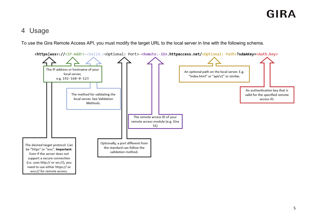#### 4 Usage

To use the Gira Remote Access API, you must modify the target URL to the local server in line with the following schema.

<span id="page-4-0"></span>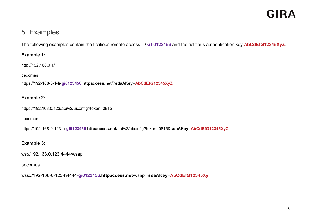### 5 Examples

The following examples contain the fictitious remote access ID **GI-0123456** and the fictitious authentication key **AbCdEfG12345XyZ**.

#### **Example 1:**

http://192.168.0.1/

#### becomes

https://192-168-0-1-**h**-**gi0123456**.**httpaccess.net**/?**sdaAKey**=**AbCdEfG12345XyZ**

#### **Example 2:**

https://192.168.0.123/api/v2/uiconfig?token=0815

#### <span id="page-5-0"></span>becomes

https://192-168-0-123-**u**-**gi0123456**.**httpaccess.net**/api/v2/uiconfig?token=0815&**sdaAKey**=**AbCdEfG12345XyZ**

#### **Example 3:**

ws://192.168.0.123:4444/wsapi

#### becomes

wss://192-168-0-123-**h4444**-**gi0123456**.**httpaccess.net**/wsapi?**sdaAKey**=**AbCdEfG12345Xy**